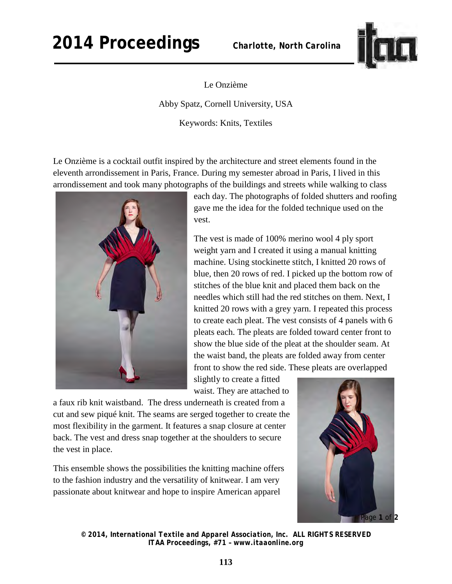## **2014 Proceedings** *Charlotte, North Carolina*



Le Onzième

Abby Spatz, Cornell University, USA

Keywords: Knits, Textiles

Le Onzième is a cocktail outfit inspired by the architecture and street elements found in the eleventh arrondissement in Paris, France. During my semester abroad in Paris, I lived in this arrondissement and took many photographs of the buildings and streets while walking to class



each day. The photographs of folded shutters and roofing gave me the idea for the folded technique used on the vest.

The vest is made of 100% merino wool 4 ply sport weight yarn and I created it using a manual knitting machine. Using stockinette stitch, I knitted 20 rows of blue, then 20 rows of red. I picked up the bottom row of stitches of the blue knit and placed them back on the needles which still had the red stitches on them. Next, I knitted 20 rows with a grey yarn. I repeated this process to create each pleat. The vest consists of 4 panels with 6 pleats each. The pleats are folded toward center front to show the blue side of the pleat at the shoulder seam. At the waist band, the pleats are folded away from center front to show the red side. These pleats are overlapped

slightly to create a fitted waist. They are attached to

a faux rib knit waistband. The dress underneath is created from a cut and sew piqué knit. The seams are serged together to create the most flexibility in the garment. It features a snap closure at center back. The vest and dress snap together at the shoulders to secure the vest in place.

This ensemble shows the possibilities the knitting machine offers to the fashion industry and the versatility of knitwear. I am very passionate about knitwear and hope to inspire American apparel



*© 2014, International Textile and Apparel Association, Inc. ALL RIGHTS RESERVED ITAA Proceedings, #71 – www.itaaonline.org*